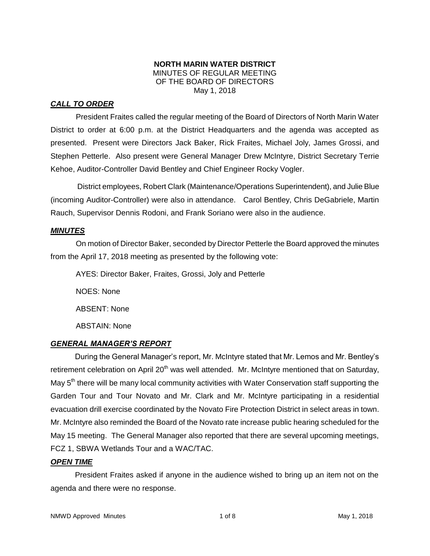#### **NORTH MARIN WATER DISTRICT** MINUTES OF REGULAR MEETING OF THE BOARD OF DIRECTORS May 1, 2018

## *CALL TO ORDER*

President Fraites called the regular meeting of the Board of Directors of North Marin Water District to order at 6:00 p.m. at the District Headquarters and the agenda was accepted as presented. Present were Directors Jack Baker, Rick Fraites, Michael Joly, James Grossi, and Stephen Petterle. Also present were General Manager Drew McIntyre, District Secretary Terrie Kehoe, Auditor-Controller David Bentley and Chief Engineer Rocky Vogler.

District employees, Robert Clark (Maintenance/Operations Superintendent), and Julie Blue (incoming Auditor-Controller) were also in attendance. Carol Bentley, Chris DeGabriele, Martin Rauch, Supervisor Dennis Rodoni, and Frank Soriano were also in the audience.

#### *MINUTES*

On motion of Director Baker, seconded by Director Petterle the Board approved the minutes from the April 17, 2018 meeting as presented by the following vote:

AYES: Director Baker, Fraites, Grossi, Joly and Petterle NOES: None ABSENT: None ABSTAIN: None

## *GENERAL MANAGER'S REPORT*

During the General Manager's report, Mr. McIntyre stated that Mr. Lemos and Mr. Bentley's retirement celebration on April  $20<sup>th</sup>$  was well attended. Mr. McIntyre mentioned that on Saturday, May  $5<sup>th</sup>$  there will be many local community activities with Water Conservation staff supporting the Garden Tour and Tour Novato and Mr. Clark and Mr. McIntyre participating in a residential evacuation drill exercise coordinated by the Novato Fire Protection District in select areas in town. Mr. McIntyre also reminded the Board of the Novato rate increase public hearing scheduled for the May 15 meeting. The General Manager also reported that there are several upcoming meetings, FCZ 1, SBWA Wetlands Tour and a WAC/TAC.

#### *OPEN TIME*

President Fraites asked if anyone in the audience wished to bring up an item not on the agenda and there were no response.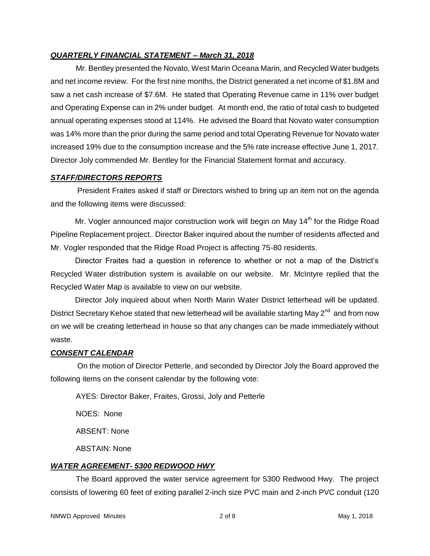#### *QUARTERLY FINANCIAL STATEMENT – March 31, 2018*

Mr. Bentley presented the Novato, West Marin Oceana Marin, and Recycled Water budgets and net income review. For the first nine months, the District generated a net income of \$1.8M and saw a net cash increase of \$7.6M. He stated that Operating Revenue came in 11% over budget and Operating Expense can in 2% under budget. At month end, the ratio of total cash to budgeted annual operating expenses stood at 114%. He advised the Board that Novato water consumption was 14% more than the prior during the same period and total Operating Revenue for Novato water increased 19% due to the consumption increase and the 5% rate increase effective June 1, 2017. Director Joly commended Mr. Bentley for the Financial Statement format and accuracy.

#### *STAFF/DIRECTORS REPORTS*

President Fraites asked if staff or Directors wished to bring up an item not on the agenda and the following items were discussed:

Mr. Vogler announced major construction work will begin on May 14<sup>th</sup> for the Ridge Road Pipeline Replacement project. Director Baker inquired about the number of residents affected and Mr. Vogler responded that the Ridge Road Project is affecting 75-80 residents.

Director Fraites had a question in reference to whether or not a map of the District's Recycled Water distribution system is available on our website. Mr. McIntyre replied that the Recycled Water Map is available to view on our website.

Director Joly inquired about when North Marin Water District letterhead will be updated. District Secretary Kehoe stated that new letterhead will be available starting May 2<sup>nd</sup> and from now on we will be creating letterhead in house so that any changes can be made immediately without waste.

#### *CONSENT CALENDAR*

On the motion of Director Petterle, and seconded by Director Joly the Board approved the following items on the consent calendar by the following vote:

AYES: Director Baker, Fraites, Grossi, Joly and Petterle

NOES: None

ABSENT: None

ABSTAIN: None

#### *WATER AGREEMENT- 5300 REDWOOD HWY*

The Board approved the water service agreement for 5300 Redwood Hwy. The project consists of lowering 60 feet of exiting parallel 2-inch size PVC main and 2-inch PVC conduit (120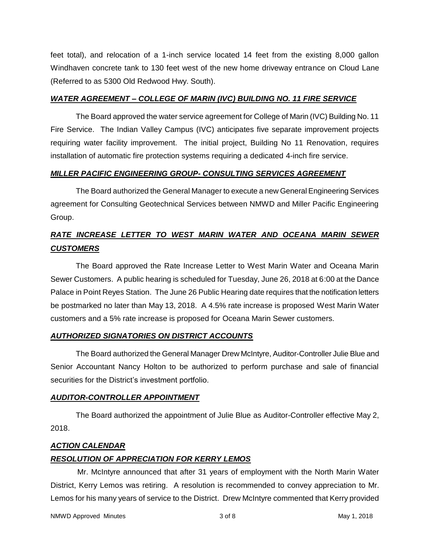feet total), and relocation of a 1-inch service located 14 feet from the existing 8,000 gallon Windhaven concrete tank to 130 feet west of the new home driveway entrance on Cloud Lane (Referred to as 5300 Old Redwood Hwy. South).

#### *WATER AGREEMENT – COLLEGE OF MARIN (IVC) BUILDING NO. 11 FIRE SERVICE*

The Board approved the water service agreement for College of Marin (IVC) Building No. 11 Fire Service. The Indian Valley Campus (IVC) anticipates five separate improvement projects requiring water facility improvement. The initial project, Building No 11 Renovation, requires installation of automatic fire protection systems requiring a dedicated 4-inch fire service.

## *MILLER PACIFIC ENGINEERING GROUP- CONSULTING SERVICES AGREEMENT*

The Board authorized the General Manager to execute a new General Engineering Services agreement for Consulting Geotechnical Services between NMWD and Miller Pacific Engineering Group.

# *RATE INCREASE LETTER TO WEST MARIN WATER AND OCEANA MARIN SEWER CUSTOMERS*

The Board approved the Rate Increase Letter to West Marin Water and Oceana Marin Sewer Customers. A public hearing is scheduled for Tuesday, June 26, 2018 at 6:00 at the Dance Palace in Point Reyes Station. The June 26 Public Hearing date requires that the notification letters be postmarked no later than May 13, 2018. A 4.5% rate increase is proposed West Marin Water customers and a 5% rate increase is proposed for Oceana Marin Sewer customers.

#### *AUTHORIZED SIGNATORIES ON DISTRICT ACCOUNTS*

The Board authorized the General Manager Drew McIntyre, Auditor-Controller Julie Blue and Senior Accountant Nancy Holton to be authorized to perform purchase and sale of financial securities for the District's investment portfolio.

## *AUDITOR-CONTROLLER APPOINTMENT*

The Board authorized the appointment of Julie Blue as Auditor-Controller effective May 2, 2018.

## *ACTION CALENDAR*

## *RESOLUTION OF APPRECIATION FOR KERRY LEMOS*

Mr. McIntyre announced that after 31 years of employment with the North Marin Water District, Kerry Lemos was retiring. A resolution is recommended to convey appreciation to Mr. Lemos for his many years of service to the District. Drew McIntyre commented that Kerry provided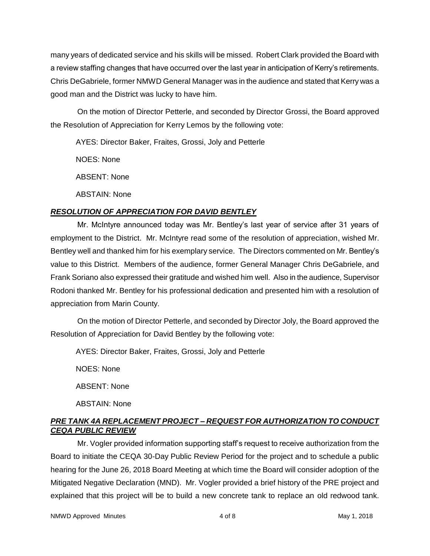many years of dedicated service and his skills will be missed. Robert Clark provided the Board with a review staffing changes that have occurred over the last year in anticipation of Kerry's retirements. Chris DeGabriele, former NMWD General Manager was in the audience and stated that Kerry was a good man and the District was lucky to have him.

On the motion of Director Petterle, and seconded by Director Grossi, the Board approved the Resolution of Appreciation for Kerry Lemos by the following vote:

AYES: Director Baker, Fraites, Grossi, Joly and Petterle

NOES: None

ABSENT: None

ABSTAIN: None

# *RESOLUTION OF APPRECIATION FOR DAVID BENTLEY*

Mr. McIntyre announced today was Mr. Bentley's last year of service after 31 years of employment to the District. Mr. McIntyre read some of the resolution of appreciation, wished Mr. Bentley well and thanked him for his exemplary service. The Directors commented on Mr. Bentley's value to this District. Members of the audience, former General Manager Chris DeGabriele, and Frank Soriano also expressed their gratitude and wished him well. Also in the audience, Supervisor Rodoni thanked Mr. Bentley for his professional dedication and presented him with a resolution of appreciation from Marin County.

On the motion of Director Petterle, and seconded by Director Joly, the Board approved the Resolution of Appreciation for David Bentley by the following vote:

AYES: Director Baker, Fraites, Grossi, Joly and Petterle

NOES: None

ABSENT: None

ABSTAIN: None

# *PRE TANK 4A REPLACEMENT PROJECT – REQUEST FOR AUTHORIZATION TO CONDUCT CEQA PUBLIC REVIEW*

Mr. Vogler provided information supporting staff's request to receive authorization from the Board to initiate the CEQA 30-Day Public Review Period for the project and to schedule a public hearing for the June 26, 2018 Board Meeting at which time the Board will consider adoption of the Mitigated Negative Declaration (MND). Mr. Vogler provided a brief history of the PRE project and explained that this project will be to build a new concrete tank to replace an old redwood tank.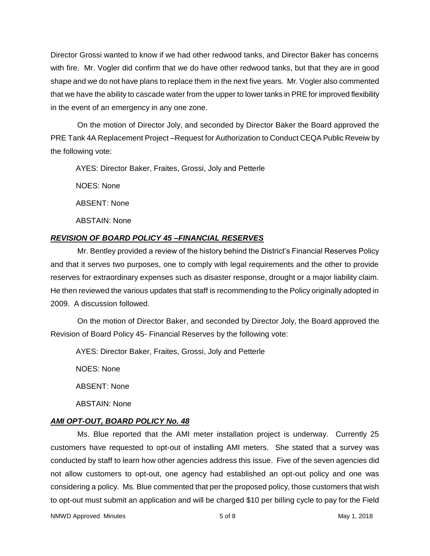Director Grossi wanted to know if we had other redwood tanks, and Director Baker has concerns with fire. Mr. Vogler did confirm that we do have other redwood tanks, but that they are in good shape and we do not have plans to replace them in the next five years. Mr. Vogler also commented that we have the ability to cascade water from the upper to lower tanks in PRE for improved flexibility in the event of an emergency in any one zone.

On the motion of Director Joly, and seconded by Director Baker the Board approved the PRE Tank 4A Replacement Project –Request for Authorization to Conduct CEQA Public Reveiw by the following vote:

AYES: Director Baker, Fraites, Grossi, Joly and Petterle

NOES: None

ABSENT: None

ABSTAIN: None

## *REVISION OF BOARD POLICY 45 –FINANCIAL RESERVES*

Mr. Bentley provided a review of the history behind the District's Financial Reserves Policy and that it serves two purposes, one to comply with legal requirements and the other to provide reserves for extraordinary expenses such as disaster response, drought or a major liability claim. He then reviewed the various updates that staff is recommending to the Policy originally adopted in 2009. A discussion followed.

On the motion of Director Baker, and seconded by Director Joly, the Board approved the Revision of Board Policy 45- Financial Reserves by the following vote:

AYES: Director Baker, Fraites, Grossi, Joly and Petterle

NOES: None

ABSENT: None

ABSTAIN: None

# *AMI OPT-OUT, BOARD POLICY No. 48*

Ms. Blue reported that the AMI meter installation project is underway. Currently 25 customers have requested to opt-out of installing AMI meters. She stated that a survey was conducted by staff to learn how other agencies address this issue. Five of the seven agencies did not allow customers to opt-out, one agency had established an opt-out policy and one was considering a policy. Ms. Blue commented that per the proposed policy, those customers that wish to opt-out must submit an application and will be charged \$10 per billing cycle to pay for the Field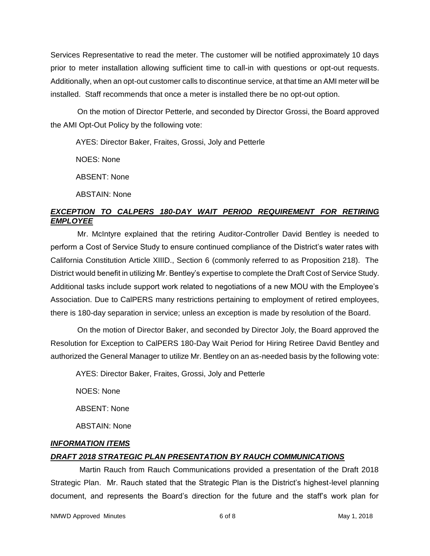Services Representative to read the meter. The customer will be notified approximately 10 days prior to meter installation allowing sufficient time to call-in with questions or opt-out requests. Additionally, when an opt-out customer calls to discontinue service, at that time an AMI meter will be installed. Staff recommends that once a meter is installed there be no opt-out option.

On the motion of Director Petterle, and seconded by Director Grossi, the Board approved the AMI Opt-Out Policy by the following vote:

AYES: Director Baker, Fraites, Grossi, Joly and Petterle

NOES: None

ABSENT: None

ABSTAIN: None

## *EXCEPTION TO CALPERS 180-DAY WAIT PERIOD REQUIREMENT FOR RETIRING EMPLOYEE*

Mr. McIntyre explained that the retiring Auditor-Controller David Bentley is needed to perform a Cost of Service Study to ensure continued compliance of the District's water rates with California Constitution Article XIIID., Section 6 (commonly referred to as Proposition 218). The District would benefit in utilizing Mr. Bentley's expertise to complete the Draft Cost of Service Study. Additional tasks include support work related to negotiations of a new MOU with the Employee's Association. Due to CalPERS many restrictions pertaining to employment of retired employees, there is 180-day separation in service; unless an exception is made by resolution of the Board.

On the motion of Director Baker, and seconded by Director Joly, the Board approved the Resolution for Exception to CalPERS 180-Day Wait Period for Hiring Retiree David Bentley and authorized the General Manager to utilize Mr. Bentley on an as-needed basis by the following vote:

AYES: Director Baker, Fraites, Grossi, Joly and Petterle

NOES: None

ABSENT: None

ABSTAIN: None

## *INFORMATION ITEMS DRAFT 2018 STRATEGIC PLAN PRESENTATION BY RAUCH COMMUNICATIONS*

Martin Rauch from Rauch Communications provided a presentation of the Draft 2018 Strategic Plan. Mr. Rauch stated that the Strategic Plan is the District's highest-level planning document, and represents the Board's direction for the future and the staff's work plan for

NMWD Approved Minutes and the control of 8 and 6 of 8 May 1, 2018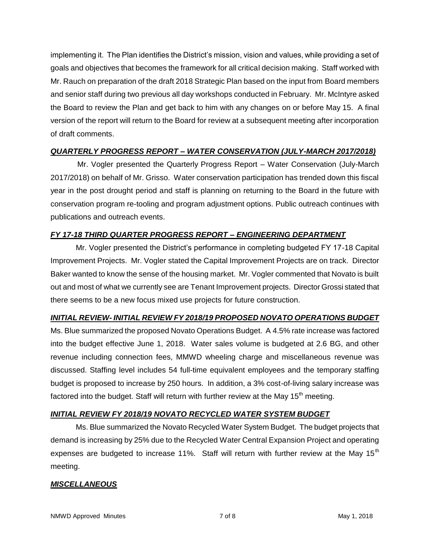implementing it. The Plan identifies the District's mission, vision and values, while providing a set of goals and objectives that becomes the framework for all critical decision making. Staff worked with Mr. Rauch on preparation of the draft 2018 Strategic Plan based on the input from Board members and senior staff during two previous all day workshops conducted in February. Mr. McIntyre asked the Board to review the Plan and get back to him with any changes on or before May 15. A final version of the report will return to the Board for review at a subsequent meeting after incorporation of draft comments.

## *QUARTERLY PROGRESS REPORT – WATER CONSERVATION (JULY-MARCH 2017/2018)*

Mr. Vogler presented the Quarterly Progress Report – Water Conservation (July-March 2017/2018) on behalf of Mr. Grisso. Water conservation participation has trended down this fiscal year in the post drought period and staff is planning on returning to the Board in the future with conservation program re-tooling and program adjustment options. Public outreach continues with publications and outreach events.

## *FY 17-18 THIRD QUARTER PROGRESS REPORT – ENGINEERING DEPARTMENT*

Mr. Vogler presented the District's performance in completing budgeted FY 17-18 Capital Improvement Projects. Mr. Vogler stated the Capital Improvement Projects are on track. Director Baker wanted to know the sense of the housing market. Mr. Vogler commented that Novato is built out and most of what we currently see are Tenant Improvement projects. Director Grossi stated that there seems to be a new focus mixed use projects for future construction.

## *INITIAL REVIEW- INITIAL REVIEW FY 2018/19 PROPOSED NOVATO OPERATIONS BUDGET*

Ms. Blue summarized the proposed Novato Operations Budget. A 4.5% rate increase was factored into the budget effective June 1, 2018. Water sales volume is budgeted at 2.6 BG, and other revenue including connection fees, MMWD wheeling charge and miscellaneous revenue was discussed. Staffing level includes 54 full-time equivalent employees and the temporary staffing budget is proposed to increase by 250 hours. In addition, a 3% cost-of-living salary increase was factored into the budget. Staff will return with further review at the May 15<sup>th</sup> meeting.

## *INITIAL REVIEW FY 2018/19 NOVATO RECYCLED WATER SYSTEM BUDGET*

Ms. Blue summarized the Novato Recycled Water System Budget. The budget projects that demand is increasing by 25% due to the Recycled Water Central Expansion Project and operating expenses are budgeted to increase 11%. Staff will return with further review at the May 15<sup>th</sup> meeting.

## *MISCELLANEOUS*